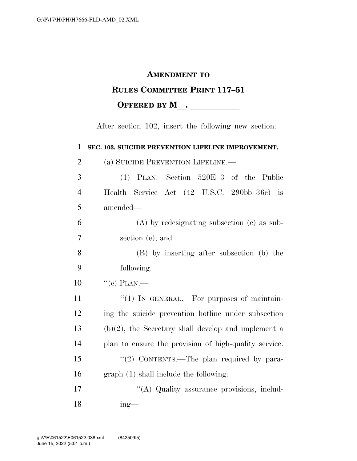## **AMENDMENT TO RULES COMMITTEE PRINT 117–51 OFFERED BY M** .

After section 102, insert the following new section:

 **SEC. 103. SUICIDE PREVENTION LIFELINE IMPROVEMENT.**  (a) SUICIDE PREVENTION LIFELINE.— (1) PLAN.—Section 520E–3 of the Public Health Service Act (42 U.S.C. 290bb–36c) is amended— (A) by redesignating subsection (c) as sub- section (e); and (B) by inserting after subsection (b) the following:  $"$ (e) PLAN.—  $\frac{1}{1}$  IN GENERAL.—For purposes of maintain- ing the suicide prevention hotline under subsection (b)(2), the Secretary shall develop and implement a plan to ensure the provision of high-quality service. 15 "(2) CONTENTS.—The plan required by para- graph (1) shall include the following:  $\langle (A)$  Quality assurance provisions, includ-18 ing—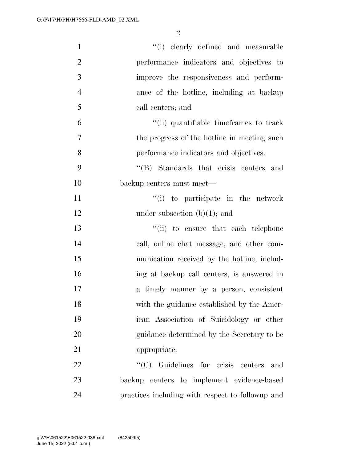| $\mathbf{1}$   | "(i) clearly defined and measurable              |
|----------------|--------------------------------------------------|
| $\overline{2}$ | performance indicators and objectives to         |
| 3              | improve the responsiveness and perform-          |
| $\overline{4}$ | ance of the hotline, including at backup         |
| 5              | call centers; and                                |
| 6              | "(ii) quantifiable time frames to track          |
| 7              | the progress of the hotline in meeting such      |
| 8              | performance indicators and objectives.           |
| 9              | "(B) Standards that crisis centers and           |
| 10             | backup centers must meet—                        |
| 11             | "(i) to participate in the network               |
| 12             | under subsection $(b)(1)$ ; and                  |
| 13             | "(ii) to ensure that each telephone              |
| 14             | call, online chat message, and other com-        |
| 15             | munication received by the hotline, includ-      |
| 16             | ing at backup call centers, is answered in       |
| 17             | a timely manner by a person, consistent          |
| 18             | with the guidance established by the Amer-       |
| 19             | ican Association of Suicidology or other         |
| 20             | guidance determined by the Secretary to be       |
| 21             | appropriate.                                     |
| 22             | $\lq\lq$ Guidelines for crisis centers<br>and    |
| 23             | backup centers to implement evidence-based       |
| 24             | practices including with respect to followup and |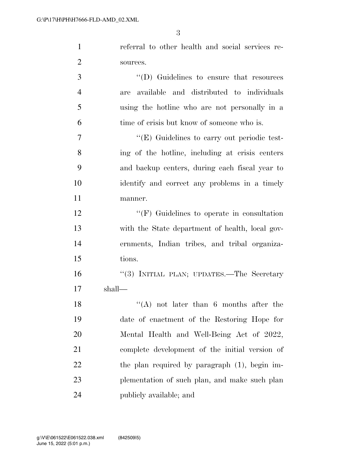referral to other health and social services re-sources.

 ''(D) Guidelines to ensure that resources are available and distributed to individuals using the hotline who are not personally in a time of crisis but know of someone who is.

 $''(E)$  Guidelines to carry out periodic test- ing of the hotline, including at crisis centers and backup centers, during each fiscal year to identify and correct any problems in a timely manner.

12 "'(F) Guidelines to operate in consultation with the State department of health, local gov- ernments, Indian tribes, and tribal organiza-tions.

 ''(3) INITIAL PLAN; UPDATES.—The Secretary shall—

 $\langle (A) \rangle$  not later than 6 months after the date of enactment of the Restoring Hope for Mental Health and Well-Being Act of 2022, complete development of the initial version of 22 the plan required by paragraph (1), begin im- plementation of such plan, and make such plan publicly available; and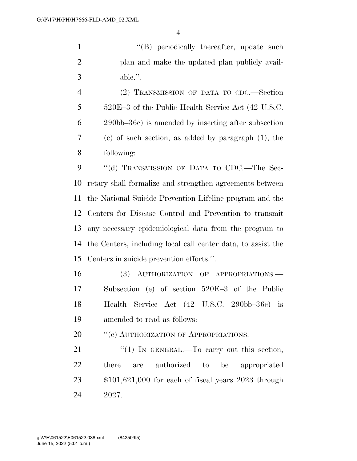1 ''(B) periodically thereafter, update such plan and make the updated plan publicly avail-able.''.

 (2) TRANSMISSION OF DATA TO CDC.—Section 520E–3 of the Public Health Service Act (42 U.S.C. 290bb–36c) is amended by inserting after subsection (c) of such section, as added by paragraph (1), the following:

9 "(d) TRANSMISSION OF DATA TO CDC.—The Sec- retary shall formalize and strengthen agreements between the National Suicide Prevention Lifeline program and the Centers for Disease Control and Prevention to transmit any necessary epidemiological data from the program to the Centers, including local call center data, to assist the Centers in suicide prevention efforts.''.

16 (3) AUTHORIZATION OF APPROPRIATIONS. Subsection (e) of section 520E–3 of the Public Health Service Act (42 U.S.C. 290bb–36c) is amended to read as follows:

20 " (e) AUTHORIZATION OF APPROPRIATIONS.

 $\frac{1}{2}$  To carry out this section, there are authorized to be appropriated \$101,621,000 for each of fiscal years 2023 through 2027.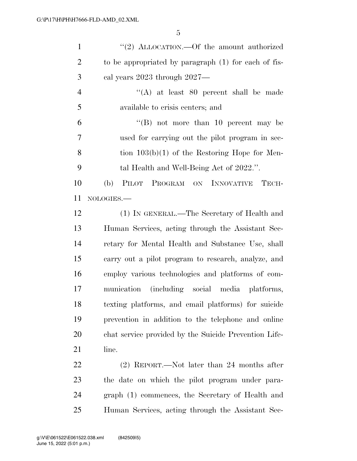| $\mathbf{1}$   | "(2) ALLOCATION.—Of the amount authorized             |
|----------------|-------------------------------------------------------|
| $\overline{2}$ | to be appropriated by paragraph (1) for each of fis-  |
| 3              | cal years 2023 through 2027—                          |
| $\overline{4}$ | "(A) at least $80$ percent shall be made              |
| 5              | available to crisis centers; and                      |
| 6              | "(B) not more than 10 percent may be                  |
| 7              | used for carrying out the pilot program in sec-       |
| 8              | tion $103(b)(1)$ of the Restoring Hope for Men-       |
| 9              | tal Health and Well-Being Act of 2022.".              |
| 10             | PILOT PROGRAM ON INNOVATIVE TECH-<br>(b)              |
| 11             | NOLOGIES.-                                            |
| 12             | (1) IN GENERAL.—The Secretary of Health and           |
| 13             | Human Services, acting through the Assistant Sec-     |
| 14             | retary for Mental Health and Substance Use, shall     |
| 15             | carry out a pilot program to research, analyze, and   |
| 16             | employ various technologies and platforms of com-     |
| 17             | munication (including social media platforms,         |
| 18             | texting platforms, and email platforms) for suicide   |
| 19             | prevention in addition to the telephone and online    |
| 20             | chat service provided by the Suicide Prevention Life- |
| 21             | line.                                                 |
| 22             | $(2)$ REPORT.—Not later than 24 months after          |
| 23             | the date on which the pilot program under para-       |
| 24             | graph (1) commences, the Secretary of Health and      |

Human Services, acting through the Assistant Sec-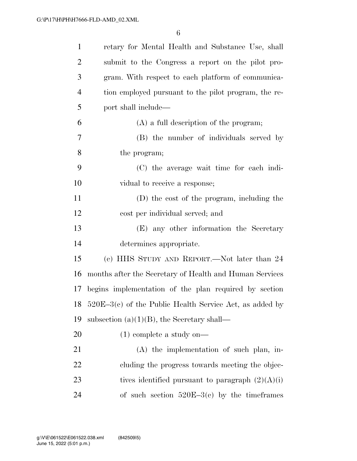| $\mathbf{1}$   | retary for Mental Health and Substance Use, shall             |
|----------------|---------------------------------------------------------------|
| $\overline{2}$ | submit to the Congress a report on the pilot pro-             |
| 3              | gram. With respect to each platform of communica-             |
| $\overline{4}$ | tion employed pursuant to the pilot program, the re-          |
| 5              | port shall include—                                           |
| 6              | $(A)$ a full description of the program;                      |
| 7              | (B) the number of individuals served by                       |
| 8              | the program;                                                  |
| 9              | (C) the average wait time for each indi-                      |
| 10             | vidual to receive a response;                                 |
| 11             | (D) the cost of the program, including the                    |
| 12             | cost per individual served; and                               |
| 13             | (E) any other information the Secretary                       |
| 14             | determines appropriate.                                       |
| 15             | (c) HHS STUDY AND REPORT.—Not later than 24                   |
| 16             | months after the Secretary of Health and Human Services       |
| 17             | begins implementation of the plan required by section         |
|                | 18 520E-3 $(c)$ of the Public Health Service Act, as added by |
| 19             | subsection $(a)(1)(B)$ , the Secretary shall—                 |
| 20             | $(1)$ complete a study on—                                    |
| 21             | $(A)$ the implementation of such plan, in-                    |
| 22             | cluding the progress towards meeting the objec-               |
| 23             | tives identified pursuant to paragraph $(2)(A)(i)$            |
| 24             | of such section $520E-3(c)$ by the timeframes                 |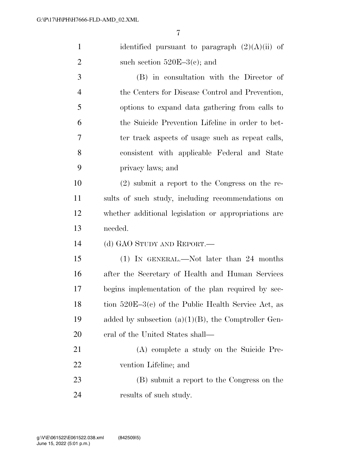| $\mathbf{1}$   | identified pursuant to paragraph $(2)(A)(ii)$ of       |
|----------------|--------------------------------------------------------|
| $\overline{2}$ | such section $520E-3(c)$ ; and                         |
| 3              | (B) in consultation with the Director of               |
| $\overline{4}$ | the Centers for Disease Control and Prevention,        |
| 5              | options to expand data gathering from calls to         |
| 6              | the Suicide Prevention Lifeline in order to bet-       |
| 7              | ter track aspects of usage such as repeat calls,       |
| 8              | consistent with applicable Federal and State           |
| 9              | privacy laws; and                                      |
| 10             | $(2)$ submit a report to the Congress on the re-       |
| 11             | sults of such study, including recommendations on      |
| 12             | whether additional legislation or appropriations are   |
| 13             | needed.                                                |
|                |                                                        |
| 14             | (d) GAO STUDY AND REPORT.—                             |
| 15             | $(1)$ IN GENERAL.—Not later than 24 months             |
| 16             | after the Secretary of Health and Human Services       |
| 17             | begins implementation of the plan required by sec-     |
| 18             | tion $520E-3(c)$ of the Public Health Service Act, as  |
| 19             | added by subsection $(a)(1)(B)$ , the Comptroller Gen- |
| 20             | eral of the United States shall—                       |
| 21             | (A) complete a study on the Suicide Pre-               |
| 22             | vention Lifeline; and                                  |
| 23             | (B) submit a report to the Congress on the             |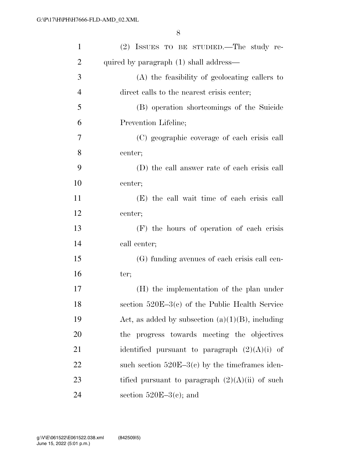| $\mathbf{1}$   | (2) ISSUES TO BE STUDIED.—The study re-             |
|----------------|-----------------------------------------------------|
| $\overline{2}$ | quired by paragraph (1) shall address—              |
| 3              | (A) the feasibility of geolocating callers to       |
| $\overline{4}$ | direct calls to the nearest crisis center;          |
| 5              | (B) operation shortcomings of the Suicide           |
| 6              | Prevention Lifeline;                                |
| 7              | (C) geographic coverage of each crisis call         |
| 8              | center;                                             |
| 9              | (D) the call answer rate of each crisis call        |
| 10             | center;                                             |
| 11             | (E) the call wait time of each crisis call          |
| 12             | center;                                             |
| 13             | (F) the hours of operation of each crisis           |
| 14             | call center;                                        |
| 15             | (G) funding avenues of each crisis call cen-        |
| 16             | ter;                                                |
| 17             | (H) the implementation of the plan under            |
| 18             | section $520E-3(c)$ of the Public Health Service    |
| 19             | Act, as added by subsection $(a)(1)(B)$ , including |
| 20             | the progress towards meeting the objectives         |
| 21             | identified pursuant to paragraph $(2)(A)(i)$ of     |
| 22             | such section $520E-3(c)$ by the time frames iden-   |
| 23             | tified pursuant to paragraph $(2)(A)(ii)$ of such   |
| 24             | section $520E-3(c)$ ; and                           |